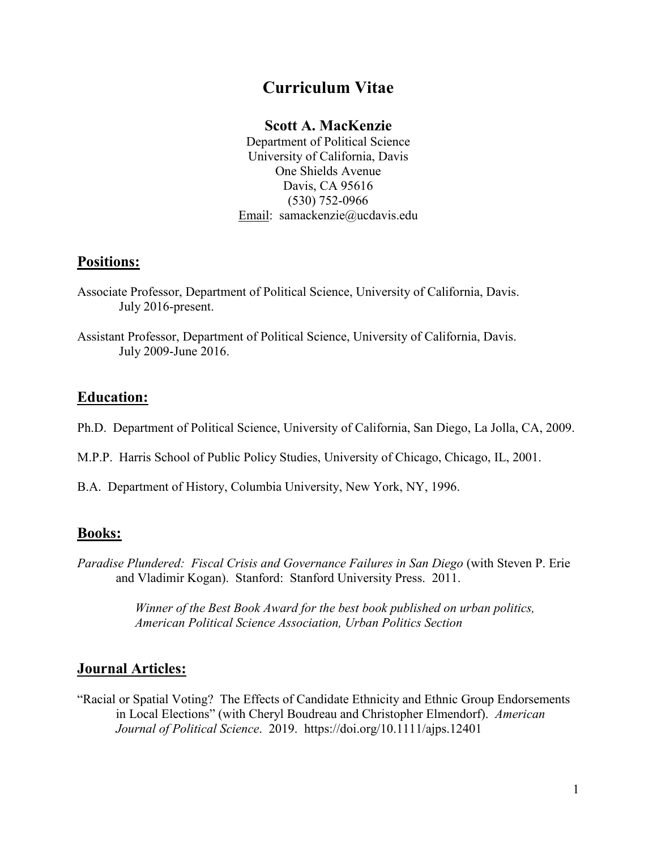# **Curriculum Vitae**

#### **Scott A. MacKenzie**

Department of Political Science University of California, Davis One Shields Avenue Davis, CA 95616 (530) 752-0966 Email: [samackenzie@ucdavis.edu](mailto:clboudreau@ucsd.edu)

#### **Positions:**

- Associate Professor, Department of Political Science, University of California, Davis. July 2016-present.
- Assistant Professor, Department of Political Science, University of California, Davis. July 2009-June 2016.

### **Education:**

- Ph.D. Department of Political Science, University of California, San Diego, La Jolla, CA, 2009.
- M.P.P. Harris School of Public Policy Studies, University of Chicago, Chicago, IL, 2001.
- B.A. Department of History, Columbia University, New York, NY, 1996.

### **Books:**

*Paradise Plundered: Fiscal Crisis and Governance Failures in San Diego* (with Steven P. Erie and Vladimir Kogan). Stanford: Stanford University Press. 2011.

> *Winner of the Best Book Award for the best book published on urban politics, American Political Science Association, Urban Politics Section*

## **Journal Articles:**

"Racial or Spatial Voting? The Effects of Candidate Ethnicity and Ethnic Group Endorsements in Local Elections" (with Cheryl Boudreau and Christopher Elmendorf). *American Journal of Political Science*. 2019. https://doi.org/10.1111/ajps.12401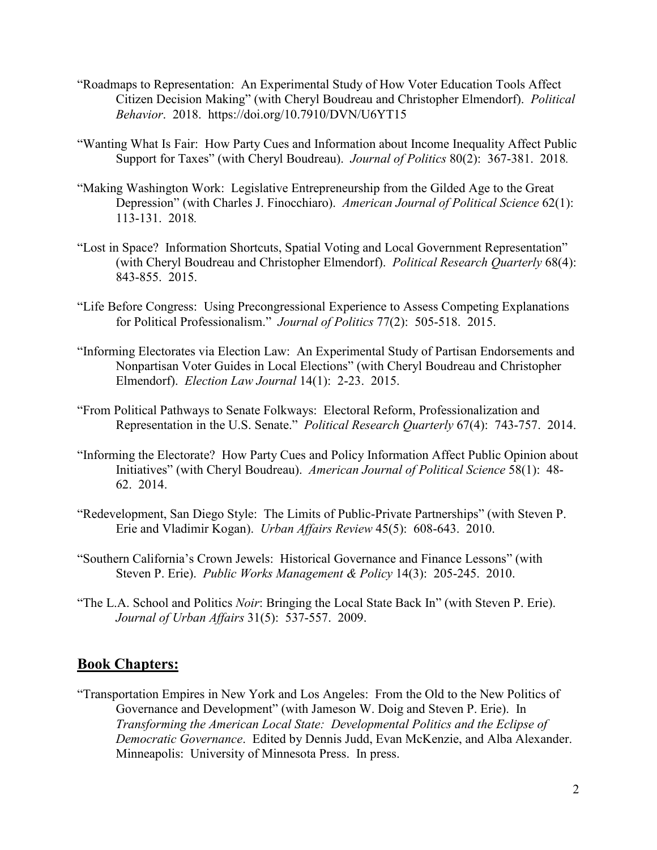- "Roadmaps to Representation: An Experimental Study of How Voter Education Tools Affect Citizen Decision Making" (with Cheryl Boudreau and Christopher Elmendorf). *Political Behavior*. 2018. https://doi.org/10.7910/DVN/U6YT15
- "Wanting What Is Fair: How Party Cues and Information about Income Inequality Affect Public Support for Taxes" (with Cheryl Boudreau). *Journal of Politics* 80(2): 367-381. 2018*.*
- "Making Washington Work: Legislative Entrepreneurship from the Gilded Age to the Great Depression" (with Charles J. Finocchiaro). *American Journal of Political Science* 62(1): 113-131. 2018*.*
- "Lost in Space? Information Shortcuts, Spatial Voting and Local Government Representation" (with Cheryl Boudreau and Christopher Elmendorf). *Political Research Quarterly* 68(4): 843-855. 2015.
- "Life Before Congress: Using Precongressional Experience to Assess Competing Explanations for Political Professionalism." *Journal of Politics* 77(2): 505-518. 2015.
- "Informing Electorates via Election Law: An Experimental Study of Partisan Endorsements and Nonpartisan Voter Guides in Local Elections" (with Cheryl Boudreau and Christopher Elmendorf). *Election Law Journal* 14(1): 2-23. 2015.
- "From Political Pathways to Senate Folkways: Electoral Reform, Professionalization and Representation in the U.S. Senate." *Political Research Quarterly* 67(4): 743-757. 2014.
- "Informing the Electorate? How Party Cues and Policy Information Affect Public Opinion about Initiatives" (with Cheryl Boudreau). *American Journal of Political Science* 58(1): 48- 62. 2014.
- "Redevelopment, San Diego Style: The Limits of Public-Private Partnerships" (with Steven P. Erie and Vladimir Kogan). *Urban Affairs Review* 45(5): 608-643. 2010.
- "Southern California's Crown Jewels: Historical Governance and Finance Lessons" (with Steven P. Erie). *Public Works Management & Policy* 14(3): 205-245. 2010.
- "The L.A. School and Politics *Noir*: Bringing the Local State Back In" (with Steven P. Erie). *Journal of Urban Affairs* 31(5): 537-557. 2009.

#### **Book Chapters:**

"Transportation Empires in New York and Los Angeles: From the Old to the New Politics of Governance and Development" (with Jameson W. Doig and Steven P. Erie). In *Transforming the American Local State: Developmental Politics and the Eclipse of Democratic Governance*. Edited by Dennis Judd, Evan McKenzie, and Alba Alexander. Minneapolis: University of Minnesota Press. In press.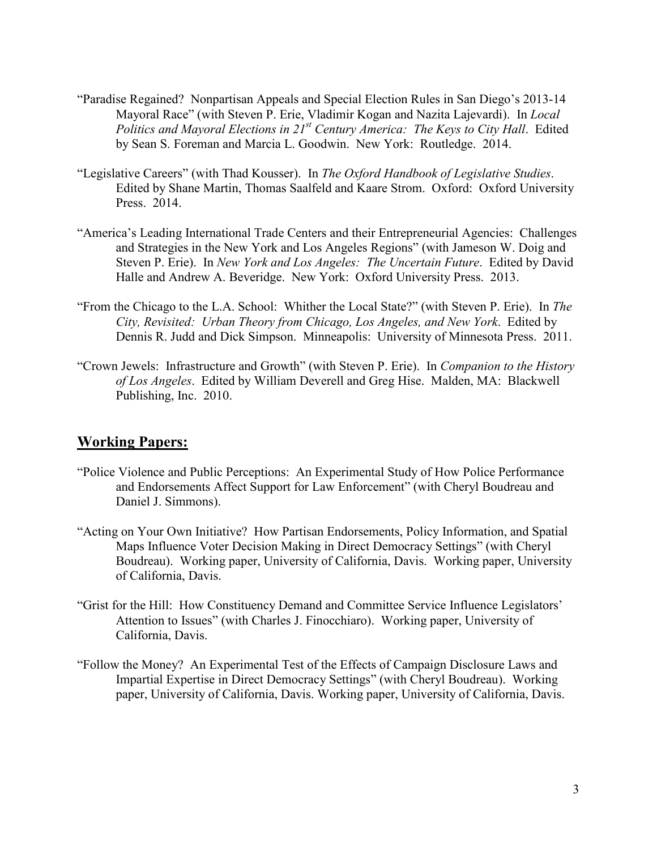- "Paradise Regained? Nonpartisan Appeals and Special Election Rules in San Diego's 2013-14 Mayoral Race" (with Steven P. Erie, Vladimir Kogan and Nazita Lajevardi). In *Local Politics and Mayoral Elections in 21st Century America: The Keys to City Hall*. Edited by Sean S. Foreman and Marcia L. Goodwin. New York: Routledge. 2014.
- "Legislative Careers" (with Thad Kousser). In *The Oxford Handbook of Legislative Studies*. Edited by Shane Martin, Thomas Saalfeld and Kaare Strom. Oxford: Oxford University Press. 2014.
- "America's Leading International Trade Centers and their Entrepreneurial Agencies: Challenges and Strategies in the New York and Los Angeles Regions" (with Jameson W. Doig and Steven P. Erie). In *New York and Los Angeles: The Uncertain Future*. Edited by David Halle and Andrew A. Beveridge. New York: Oxford University Press. 2013.
- "From the Chicago to the L.A. School: Whither the Local State?" (with Steven P. Erie). In *The City, Revisited: Urban Theory from Chicago, Los Angeles, and New York*. Edited by Dennis R. Judd and Dick Simpson. Minneapolis: University of Minnesota Press. 2011.
- "Crown Jewels: Infrastructure and Growth" (with Steven P. Erie). In *Companion to the History of Los Angeles*. Edited by William Deverell and Greg Hise. Malden, MA: Blackwell Publishing, Inc. 2010.

### **Working Papers:**

- "Police Violence and Public Perceptions: An Experimental Study of How Police Performance and Endorsements Affect Support for Law Enforcement" (with Cheryl Boudreau and Daniel J. Simmons).
- "Acting on Your Own Initiative? How Partisan Endorsements, Policy Information, and Spatial Maps Influence Voter Decision Making in Direct Democracy Settings" (with Cheryl Boudreau). Working paper, University of California, Davis. Working paper, University of California, Davis.
- "Grist for the Hill: How Constituency Demand and Committee Service Influence Legislators' Attention to Issues" (with Charles J. Finocchiaro). Working paper, University of California, Davis.
- "Follow the Money? An Experimental Test of the Effects of Campaign Disclosure Laws and Impartial Expertise in Direct Democracy Settings" (with Cheryl Boudreau). Working paper, University of California, Davis. Working paper, University of California, Davis.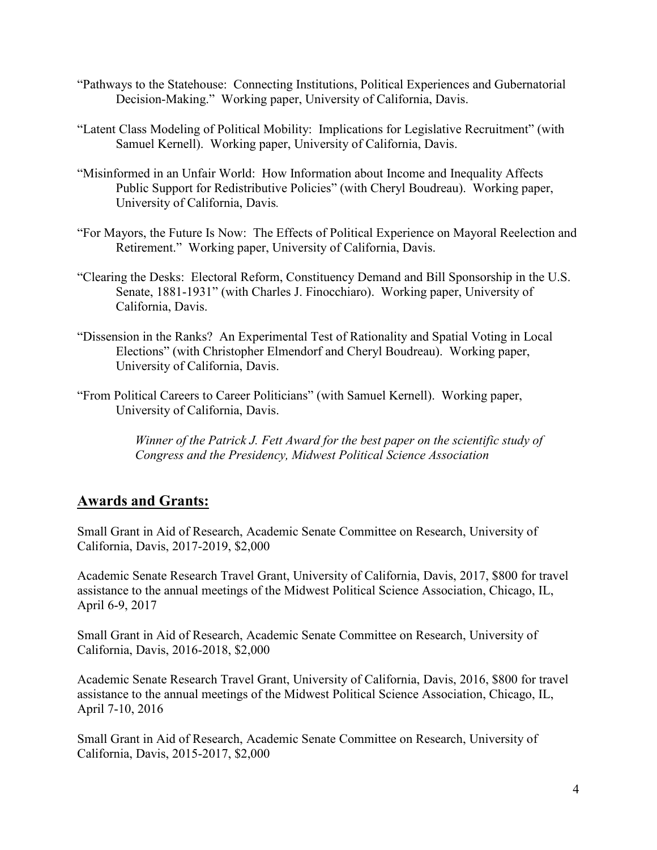- "Pathways to the Statehouse: Connecting Institutions, Political Experiences and Gubernatorial Decision-Making." Working paper, University of California, Davis.
- "Latent Class Modeling of Political Mobility: Implications for Legislative Recruitment" (with Samuel Kernell). Working paper, University of California, Davis.
- "Misinformed in an Unfair World: How Information about Income and Inequality Affects Public Support for Redistributive Policies" (with Cheryl Boudreau). Working paper, University of California, Davis*.*
- "For Mayors, the Future Is Now: The Effects of Political Experience on Mayoral Reelection and Retirement." Working paper, University of California, Davis.
- "Clearing the Desks: Electoral Reform, Constituency Demand and Bill Sponsorship in the U.S. Senate, 1881-1931" (with Charles J. Finocchiaro). Working paper, University of California, Davis.
- "Dissension in the Ranks? An Experimental Test of Rationality and Spatial Voting in Local Elections" (with Christopher Elmendorf and Cheryl Boudreau). Working paper, University of California, Davis.
- "From Political Careers to Career Politicians" (with Samuel Kernell). Working paper, University of California, Davis.

*Winner of the Patrick J. Fett Award for the best paper on the scientific study of Congress and the Presidency, Midwest Political Science Association*

## **Awards and Grants:**

Small Grant in Aid of Research, Academic Senate Committee on Research, University of California, Davis, 2017-2019, \$2,000

Academic Senate Research Travel Grant, University of California, Davis, 2017, \$800 for travel assistance to the annual meetings of the Midwest Political Science Association, Chicago, IL, April 6-9, 2017

Small Grant in Aid of Research, Academic Senate Committee on Research, University of California, Davis, 2016-2018, \$2,000

Academic Senate Research Travel Grant, University of California, Davis, 2016, \$800 for travel assistance to the annual meetings of the Midwest Political Science Association, Chicago, IL, April 7-10, 2016

Small Grant in Aid of Research, Academic Senate Committee on Research, University of California, Davis, 2015-2017, \$2,000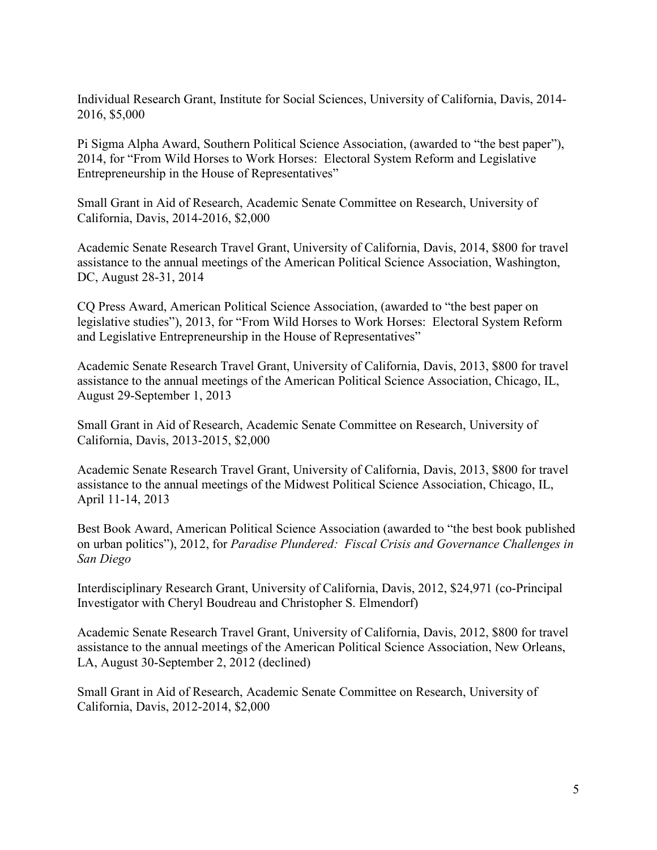Individual Research Grant, Institute for Social Sciences, University of California, Davis, 2014- 2016, \$5,000

Pi Sigma Alpha Award, Southern Political Science Association, (awarded to "the best paper"), 2014, for "From Wild Horses to Work Horses: Electoral System Reform and Legislative Entrepreneurship in the House of Representatives"

Small Grant in Aid of Research, Academic Senate Committee on Research, University of California, Davis, 2014-2016, \$2,000

Academic Senate Research Travel Grant, University of California, Davis, 2014, \$800 for travel assistance to the annual meetings of the American Political Science Association, Washington, DC, August 28-31, 2014

CQ Press Award, American Political Science Association, (awarded to "the best paper on legislative studies"), 2013, for "From Wild Horses to Work Horses: Electoral System Reform and Legislative Entrepreneurship in the House of Representatives"

Academic Senate Research Travel Grant, University of California, Davis, 2013, \$800 for travel assistance to the annual meetings of the American Political Science Association, Chicago, IL, August 29-September 1, 2013

Small Grant in Aid of Research, Academic Senate Committee on Research, University of California, Davis, 2013-2015, \$2,000

Academic Senate Research Travel Grant, University of California, Davis, 2013, \$800 for travel assistance to the annual meetings of the Midwest Political Science Association, Chicago, IL, April 11-14, 2013

Best Book Award, American Political Science Association (awarded to "the best book published on urban politics"), 2012, for *Paradise Plundered: Fiscal Crisis and Governance Challenges in San Diego*

Interdisciplinary Research Grant, University of California, Davis, 2012, \$24,971 (co-Principal Investigator with Cheryl Boudreau and Christopher S. Elmendorf)

Academic Senate Research Travel Grant, University of California, Davis, 2012, \$800 for travel assistance to the annual meetings of the American Political Science Association, New Orleans, LA, August 30-September 2, 2012 (declined)

Small Grant in Aid of Research, Academic Senate Committee on Research, University of California, Davis, 2012-2014, \$2,000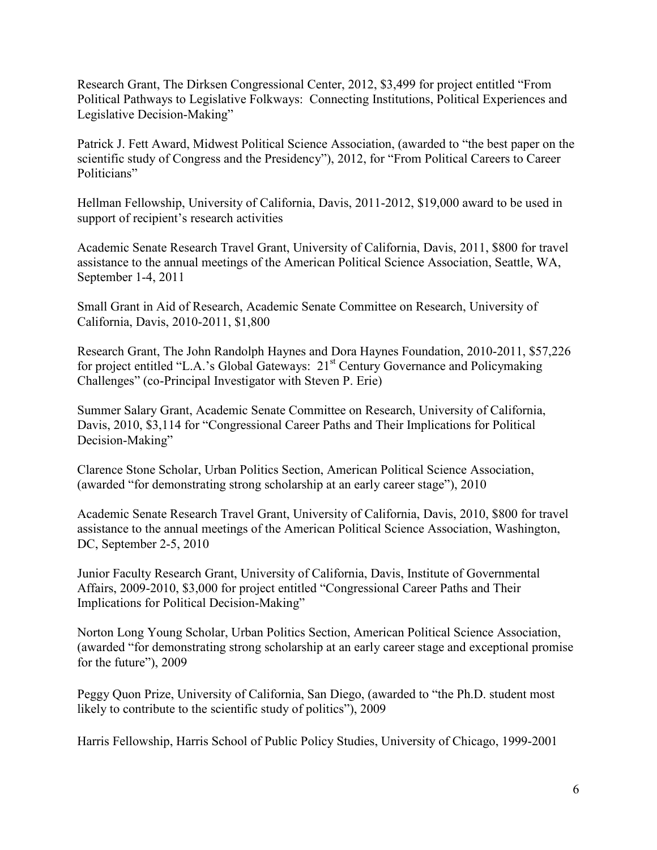Research Grant, The Dirksen Congressional Center, 2012, \$3,499 for project entitled "From Political Pathways to Legislative Folkways: Connecting Institutions, Political Experiences and Legislative Decision-Making"

Patrick J. Fett Award, Midwest Political Science Association, (awarded to "the best paper on the scientific study of Congress and the Presidency"), 2012, for "From Political Careers to Career Politicians"

Hellman Fellowship, University of California, Davis, 2011-2012, \$19,000 award to be used in support of recipient's research activities

Academic Senate Research Travel Grant, University of California, Davis, 2011, \$800 for travel assistance to the annual meetings of the American Political Science Association, Seattle, WA, September 1-4, 2011

Small Grant in Aid of Research, Academic Senate Committee on Research, University of California, Davis, 2010-2011, \$1,800

Research Grant, The John Randolph Haynes and Dora Haynes Foundation, 2010-2011, \$57,226 for project entitled "L.A.'s Global Gateways: 21<sup>st</sup> Century Governance and Policymaking Challenges" (co-Principal Investigator with Steven P. Erie)

Summer Salary Grant, Academic Senate Committee on Research, University of California, Davis, 2010, \$3,114 for "Congressional Career Paths and Their Implications for Political Decision-Making"

Clarence Stone Scholar, Urban Politics Section, American Political Science Association, (awarded "for demonstrating strong scholarship at an early career stage"), 2010

Academic Senate Research Travel Grant, University of California, Davis, 2010, \$800 for travel assistance to the annual meetings of the American Political Science Association, Washington, DC, September 2-5, 2010

Junior Faculty Research Grant, University of California, Davis, Institute of Governmental Affairs, 2009-2010, \$3,000 for project entitled "Congressional Career Paths and Their Implications for Political Decision-Making"

Norton Long Young Scholar, Urban Politics Section, American Political Science Association, (awarded "for demonstrating strong scholarship at an early career stage and exceptional promise for the future"), 2009

Peggy Quon Prize, University of California, San Diego, (awarded to "the Ph.D. student most likely to contribute to the scientific study of politics"), 2009

Harris Fellowship, Harris School of Public Policy Studies, University of Chicago, 1999-2001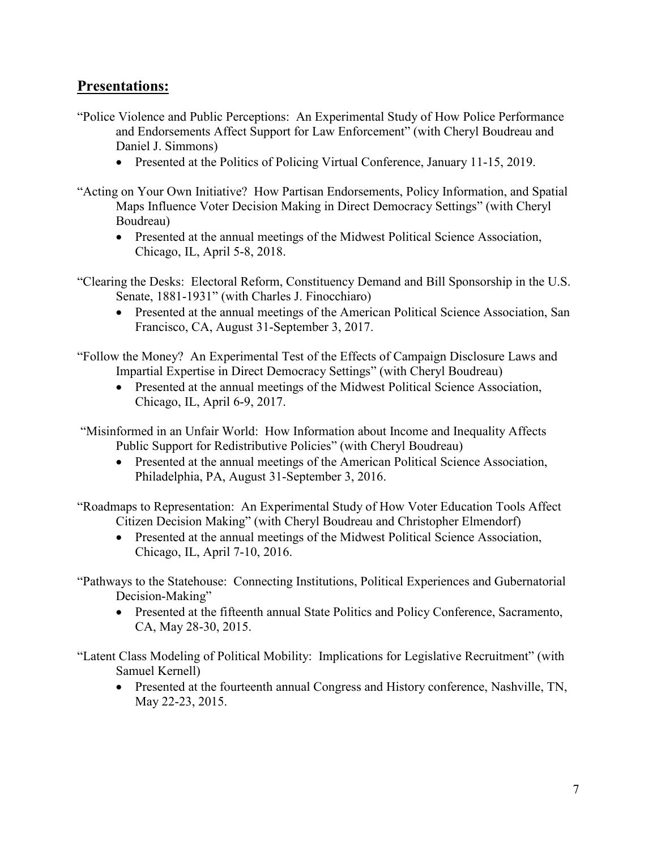### **Presentations:**

- "Police Violence and Public Perceptions: An Experimental Study of How Police Performance and Endorsements Affect Support for Law Enforcement" (with Cheryl Boudreau and Daniel J. Simmons)
	- Presented at the Politics of Policing Virtual Conference, January 11-15, 2019.
- "Acting on Your Own Initiative? How Partisan Endorsements, Policy Information, and Spatial Maps Influence Voter Decision Making in Direct Democracy Settings" (with Cheryl Boudreau)
	- Presented at the annual meetings of the Midwest Political Science Association, Chicago, IL, April 5-8, 2018.
- "Clearing the Desks: Electoral Reform, Constituency Demand and Bill Sponsorship in the U.S. Senate, 1881-1931" (with Charles J. Finocchiaro)
	- Presented at the annual meetings of the American Political Science Association, San Francisco, CA, August 31-September 3, 2017.

"Follow the Money? An Experimental Test of the Effects of Campaign Disclosure Laws and Impartial Expertise in Direct Democracy Settings" (with Cheryl Boudreau)

• Presented at the annual meetings of the Midwest Political Science Association, Chicago, IL, April 6-9, 2017.

"Misinformed in an Unfair World: How Information about Income and Inequality Affects Public Support for Redistributive Policies" (with Cheryl Boudreau)

• Presented at the annual meetings of the American Political Science Association, Philadelphia, PA, August 31-September 3, 2016.

"Roadmaps to Representation: An Experimental Study of How Voter Education Tools Affect Citizen Decision Making" (with Cheryl Boudreau and Christopher Elmendorf)

- Presented at the annual meetings of the Midwest Political Science Association, Chicago, IL, April 7-10, 2016.
- "Pathways to the Statehouse: Connecting Institutions, Political Experiences and Gubernatorial Decision-Making"
	- Presented at the fifteenth annual State Politics and Policy Conference, Sacramento, CA, May 28-30, 2015.

"Latent Class Modeling of Political Mobility: Implications for Legislative Recruitment" (with Samuel Kernell)

• Presented at the fourteenth annual Congress and History conference, Nashville, TN, May 22-23, 2015.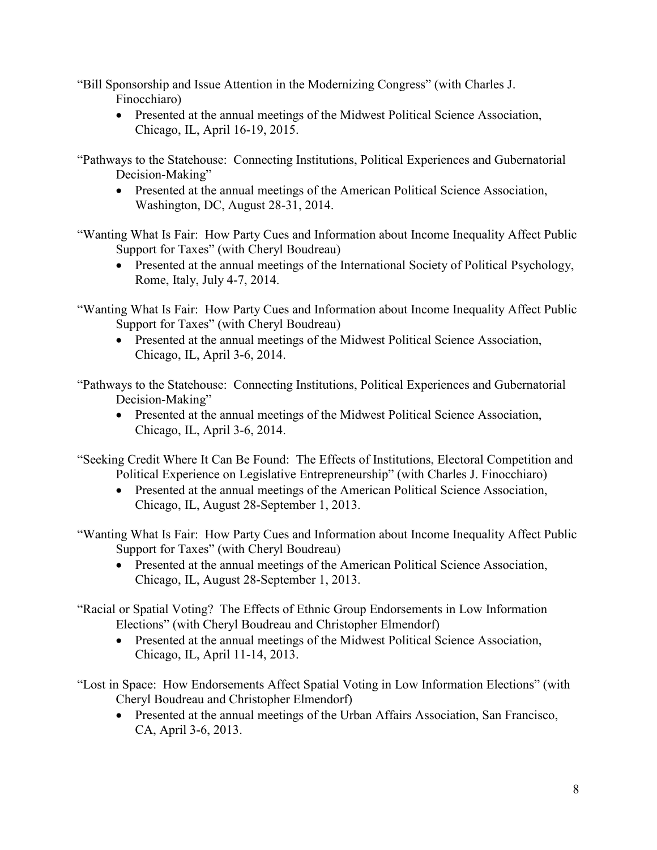"Bill Sponsorship and Issue Attention in the Modernizing Congress" (with Charles J. Finocchiaro)

• Presented at the annual meetings of the Midwest Political Science Association, Chicago, IL, April 16-19, 2015.

"Pathways to the Statehouse: Connecting Institutions, Political Experiences and Gubernatorial Decision-Making"

• Presented at the annual meetings of the American Political Science Association, Washington, DC, August 28-31, 2014.

"Wanting What Is Fair: How Party Cues and Information about Income Inequality Affect Public Support for Taxes" (with Cheryl Boudreau)

• Presented at the annual meetings of the International Society of Political Psychology, Rome, Italy, July 4-7, 2014.

"Wanting What Is Fair: How Party Cues and Information about Income Inequality Affect Public Support for Taxes" (with Cheryl Boudreau)

• Presented at the annual meetings of the Midwest Political Science Association, Chicago, IL, April 3-6, 2014.

"Pathways to the Statehouse: Connecting Institutions, Political Experiences and Gubernatorial Decision-Making"

• Presented at the annual meetings of the Midwest Political Science Association, Chicago, IL, April 3-6, 2014.

"Seeking Credit Where It Can Be Found: The Effects of Institutions, Electoral Competition and Political Experience on Legislative Entrepreneurship" (with Charles J. Finocchiaro)

• Presented at the annual meetings of the American Political Science Association, Chicago, IL, August 28-September 1, 2013.

"Wanting What Is Fair: How Party Cues and Information about Income Inequality Affect Public Support for Taxes" (with Cheryl Boudreau)

• Presented at the annual meetings of the American Political Science Association, Chicago, IL, August 28-September 1, 2013.

"Racial or Spatial Voting? The Effects of Ethnic Group Endorsements in Low Information Elections" (with Cheryl Boudreau and Christopher Elmendorf)

• Presented at the annual meetings of the Midwest Political Science Association, Chicago, IL, April 11-14, 2013.

"Lost in Space: How Endorsements Affect Spatial Voting in Low Information Elections" (with Cheryl Boudreau and Christopher Elmendorf)

• Presented at the annual meetings of the Urban Affairs Association, San Francisco, CA, April 3-6, 2013.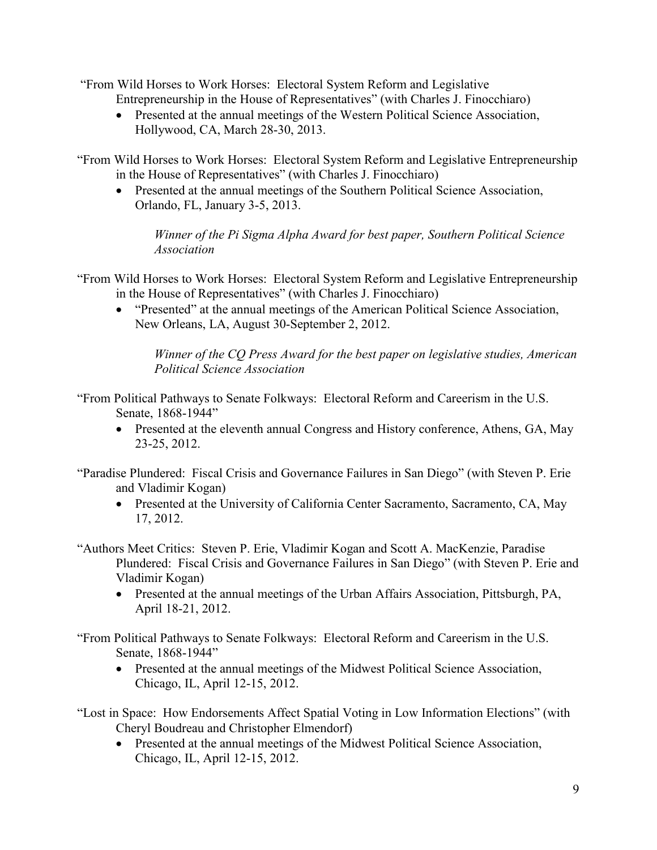"From Wild Horses to Work Horses: Electoral System Reform and Legislative Entrepreneurship in the House of Representatives" (with Charles J. Finocchiaro)

• Presented at the annual meetings of the Western Political Science Association, Hollywood, CA, March 28-30, 2013.

"From Wild Horses to Work Horses: Electoral System Reform and Legislative Entrepreneurship in the House of Representatives" (with Charles J. Finocchiaro)

• Presented at the annual meetings of the Southern Political Science Association, Orlando, FL, January 3-5, 2013.

*Winner of the Pi Sigma Alpha Award for best paper, Southern Political Science Association*

- "From Wild Horses to Work Horses: Electoral System Reform and Legislative Entrepreneurship in the House of Representatives" (with Charles J. Finocchiaro)
	- "Presented" at the annual meetings of the American Political Science Association, New Orleans, LA, August 30-September 2, 2012.

*Winner of the CQ Press Award for the best paper on legislative studies, American Political Science Association*

"From Political Pathways to Senate Folkways: Electoral Reform and Careerism in the U.S. Senate, 1868-1944"

• Presented at the eleventh annual Congress and History conference, Athens, GA, May 23-25, 2012.

"Paradise Plundered: Fiscal Crisis and Governance Failures in San Diego" (with Steven P. Erie and Vladimir Kogan)

• Presented at the University of California Center Sacramento, Sacramento, CA, May 17, 2012.

"Authors Meet Critics: Steven P. Erie, Vladimir Kogan and Scott A. MacKenzie, Paradise Plundered: Fiscal Crisis and Governance Failures in San Diego" (with Steven P. Erie and Vladimir Kogan)

• Presented at the annual meetings of the Urban Affairs Association, Pittsburgh, PA, April 18-21, 2012.

"From Political Pathways to Senate Folkways: Electoral Reform and Careerism in the U.S. Senate, 1868-1944"

• Presented at the annual meetings of the Midwest Political Science Association, Chicago, IL, April 12-15, 2012.

"Lost in Space: How Endorsements Affect Spatial Voting in Low Information Elections" (with Cheryl Boudreau and Christopher Elmendorf)

• Presented at the annual meetings of the Midwest Political Science Association, Chicago, IL, April 12-15, 2012.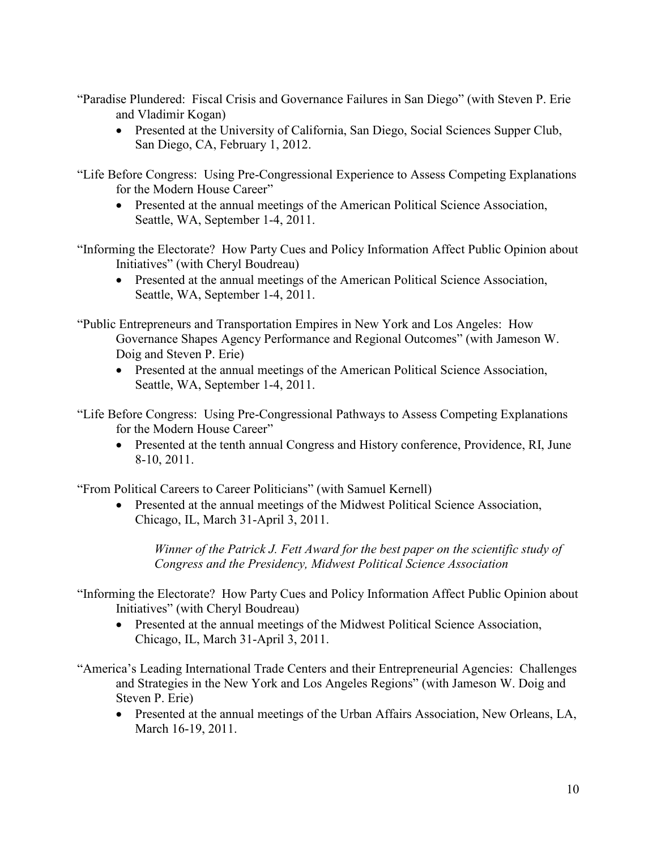"Paradise Plundered: Fiscal Crisis and Governance Failures in San Diego" (with Steven P. Erie and Vladimir Kogan)

• Presented at the University of California, San Diego, Social Sciences Supper Club, San Diego, CA, February 1, 2012.

"Life Before Congress: Using Pre-Congressional Experience to Assess Competing Explanations for the Modern House Career"

• Presented at the annual meetings of the American Political Science Association, Seattle, WA, September 1-4, 2011.

"Informing the Electorate? How Party Cues and Policy Information Affect Public Opinion about Initiatives" (with Cheryl Boudreau)

• Presented at the annual meetings of the American Political Science Association, Seattle, WA, September 1-4, 2011.

"Public Entrepreneurs and Transportation Empires in New York and Los Angeles: How Governance Shapes Agency Performance and Regional Outcomes" (with Jameson W. Doig and Steven P. Erie)

• Presented at the annual meetings of the American Political Science Association, Seattle, WA, September 1-4, 2011.

"Life Before Congress: Using Pre-Congressional Pathways to Assess Competing Explanations for the Modern House Career"

• Presented at the tenth annual Congress and History conference, Providence, RI, June 8-10, 2011.

"From Political Careers to Career Politicians" (with Samuel Kernell)

• Presented at the annual meetings of the Midwest Political Science Association, Chicago, IL, March 31-April 3, 2011.

*Winner of the Patrick J. Fett Award for the best paper on the scientific study of Congress and the Presidency, Midwest Political Science Association*

- "Informing the Electorate? How Party Cues and Policy Information Affect Public Opinion about Initiatives" (with Cheryl Boudreau)
	- Presented at the annual meetings of the Midwest Political Science Association, Chicago, IL, March 31-April 3, 2011.
- "America's Leading International Trade Centers and their Entrepreneurial Agencies: Challenges and Strategies in the New York and Los Angeles Regions" (with Jameson W. Doig and Steven P. Erie)
	- Presented at the annual meetings of the Urban Affairs Association, New Orleans, LA, March 16-19, 2011.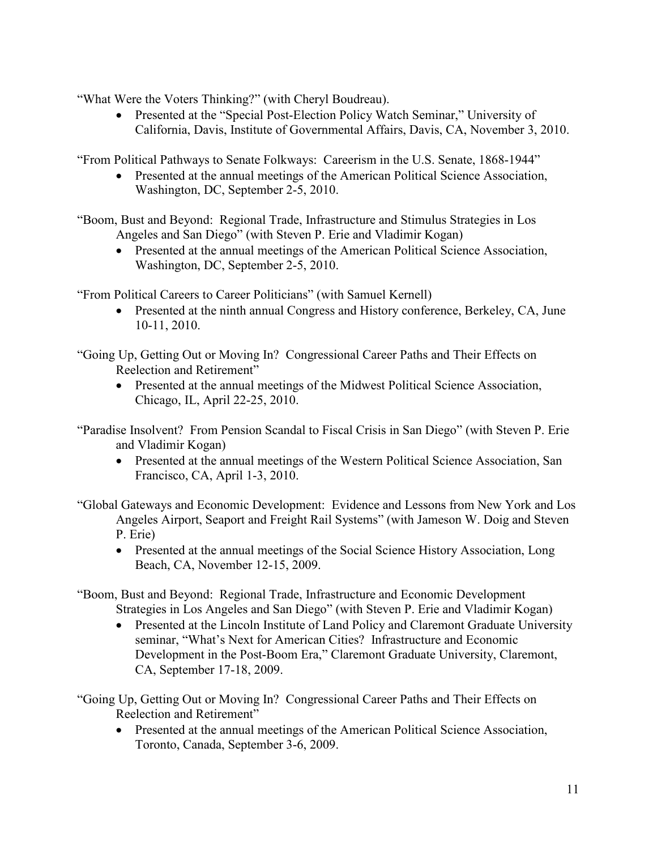"What Were the Voters Thinking?" (with Cheryl Boudreau).

• Presented at the "Special Post-Election Policy Watch Seminar," University of California, Davis, Institute of Governmental Affairs, Davis, CA, November 3, 2010.

"From Political Pathways to Senate Folkways: Careerism in the U.S. Senate, 1868-1944"

• Presented at the annual meetings of the American Political Science Association, Washington, DC, September 2-5, 2010.

"Boom, Bust and Beyond: Regional Trade, Infrastructure and Stimulus Strategies in Los Angeles and San Diego" (with Steven P. Erie and Vladimir Kogan)

• Presented at the annual meetings of the American Political Science Association, Washington, DC, September 2-5, 2010.

"From Political Careers to Career Politicians" (with Samuel Kernell)

• Presented at the ninth annual Congress and History conference, Berkeley, CA, June 10-11, 2010.

"Going Up, Getting Out or Moving In? Congressional Career Paths and Their Effects on Reelection and Retirement"

• Presented at the annual meetings of the Midwest Political Science Association, Chicago, IL, April 22-25, 2010.

"Paradise Insolvent? From Pension Scandal to Fiscal Crisis in San Diego" (with Steven P. Erie and Vladimir Kogan)

• Presented at the annual meetings of the Western Political Science Association, San Francisco, CA, April 1-3, 2010.

"Global Gateways and Economic Development: Evidence and Lessons from New York and Los Angeles Airport, Seaport and Freight Rail Systems" (with Jameson W. Doig and Steven P. Erie)

• Presented at the annual meetings of the Social Science History Association, Long Beach, CA, November 12-15, 2009.

"Boom, Bust and Beyond: Regional Trade, Infrastructure and Economic Development Strategies in Los Angeles and San Diego" (with Steven P. Erie and Vladimir Kogan)

• Presented at the Lincoln Institute of Land Policy and Claremont Graduate University seminar, "What's Next for American Cities? Infrastructure and Economic Development in the Post-Boom Era," Claremont Graduate University, Claremont, CA, September 17-18, 2009.

"Going Up, Getting Out or Moving In? Congressional Career Paths and Their Effects on Reelection and Retirement"

• Presented at the annual meetings of the American Political Science Association, Toronto, Canada, September 3-6, 2009.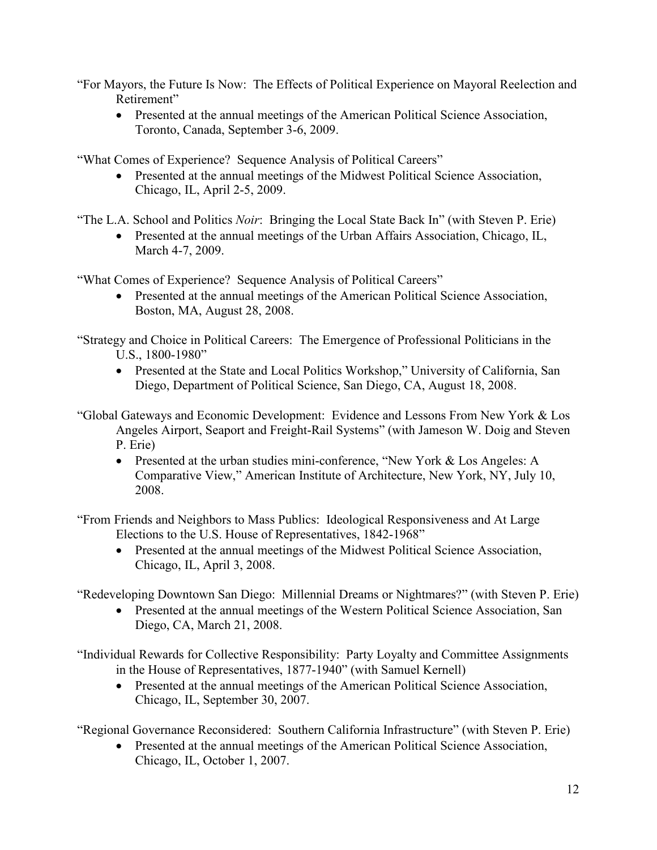"For Mayors, the Future Is Now: The Effects of Political Experience on Mayoral Reelection and Retirement"

• Presented at the annual meetings of the American Political Science Association, Toronto, Canada, September 3-6, 2009.

"What Comes of Experience? Sequence Analysis of Political Careers"

• Presented at the annual meetings of the Midwest Political Science Association, Chicago, IL, April 2-5, 2009.

"The L.A. School and Politics *Noir*: Bringing the Local State Back In" (with Steven P. Erie)

• Presented at the annual meetings of the Urban Affairs Association, Chicago, IL, March 4-7, 2009.

"What Comes of Experience? Sequence Analysis of Political Careers"

• Presented at the annual meetings of the American Political Science Association, Boston, MA, August 28, 2008.

"Strategy and Choice in Political Careers: The Emergence of Professional Politicians in the U.S., 1800-1980"

• Presented at the State and Local Politics Workshop," University of California, San Diego, Department of Political Science, San Diego, CA, August 18, 2008.

"Global Gateways and Economic Development: Evidence and Lessons From New York & Los Angeles Airport, Seaport and Freight-Rail Systems" (with Jameson W. Doig and Steven P. Erie)

• Presented at the urban studies mini-conference, "New York & Los Angeles: A Comparative View," American Institute of Architecture, New York, NY, July 10, 2008.

"From Friends and Neighbors to Mass Publics: Ideological Responsiveness and At Large Elections to the U.S. House of Representatives, 1842-1968"

• Presented at the annual meetings of the Midwest Political Science Association, Chicago, IL, April 3, 2008.

"Redeveloping Downtown San Diego: Millennial Dreams or Nightmares?" (with Steven P. Erie)

• Presented at the annual meetings of the Western Political Science Association, San Diego, CA, March 21, 2008.

"Individual Rewards for Collective Responsibility: Party Loyalty and Committee Assignments in the House of Representatives, 1877-1940" (with Samuel Kernell)

• Presented at the annual meetings of the American Political Science Association, Chicago, IL, September 30, 2007.

"Regional Governance Reconsidered: Southern California Infrastructure" (with Steven P. Erie)

• Presented at the annual meetings of the American Political Science Association, Chicago, IL, October 1, 2007.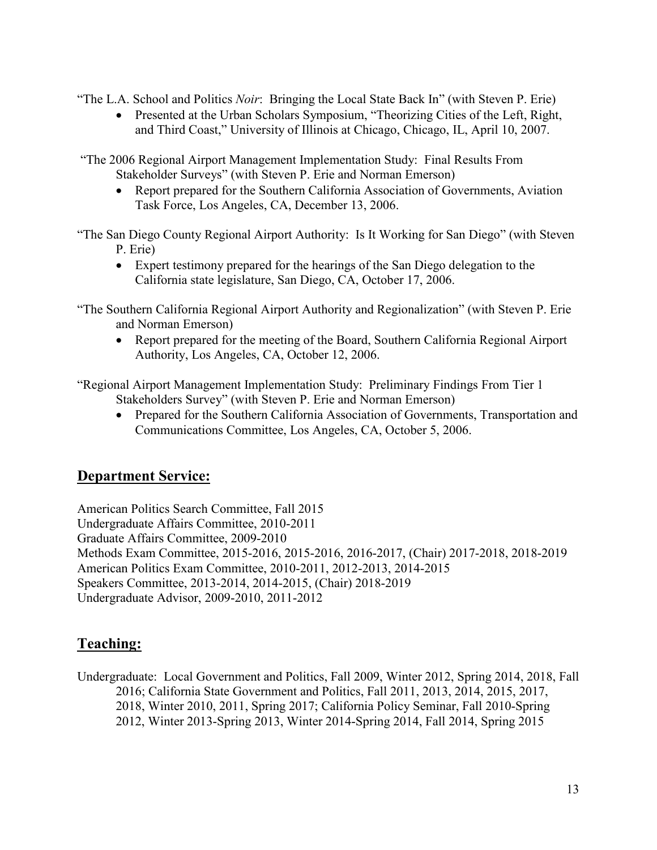"The L.A. School and Politics *Noir*: Bringing the Local State Back In" (with Steven P. Erie)

• Presented at the Urban Scholars Symposium, "Theorizing Cities of the Left, Right, and Third Coast," University of Illinois at Chicago, Chicago, IL, April 10, 2007.

"The 2006 Regional Airport Management Implementation Study: Final Results From Stakeholder Surveys" (with Steven P. Erie and Norman Emerson)

• Report prepared for the Southern California Association of Governments, Aviation Task Force, Los Angeles, CA, December 13, 2006.

"The San Diego County Regional Airport Authority: Is It Working for San Diego" (with Steven P. Erie)

• Expert testimony prepared for the hearings of the San Diego delegation to the California state legislature, San Diego, CA, October 17, 2006.

"The Southern California Regional Airport Authority and Regionalization" (with Steven P. Erie and Norman Emerson)

• Report prepared for the meeting of the Board, Southern California Regional Airport Authority, Los Angeles, CA, October 12, 2006.

"Regional Airport Management Implementation Study: Preliminary Findings From Tier 1 Stakeholders Survey" (with Steven P. Erie and Norman Emerson)

• Prepared for the Southern California Association of Governments, Transportation and Communications Committee, Los Angeles, CA, October 5, 2006.

## **Department Service:**

American Politics Search Committee, Fall 2015 Undergraduate Affairs Committee, 2010-2011 Graduate Affairs Committee, 2009-2010 Methods Exam Committee, 2015-2016, 2015-2016, 2016-2017, (Chair) 2017-2018, 2018-2019 American Politics Exam Committee, 2010-2011, 2012-2013, 2014-2015 Speakers Committee, 2013-2014, 2014-2015, (Chair) 2018-2019 Undergraduate Advisor, 2009-2010, 2011-2012

# **Teaching:**

Undergraduate: Local Government and Politics, Fall 2009, Winter 2012, Spring 2014, 2018, Fall 2016; California State Government and Politics, Fall 2011, 2013, 2014, 2015, 2017, 2018, Winter 2010, 2011, Spring 2017; California Policy Seminar, Fall 2010-Spring 2012, Winter 2013-Spring 2013, Winter 2014-Spring 2014, Fall 2014, Spring 2015